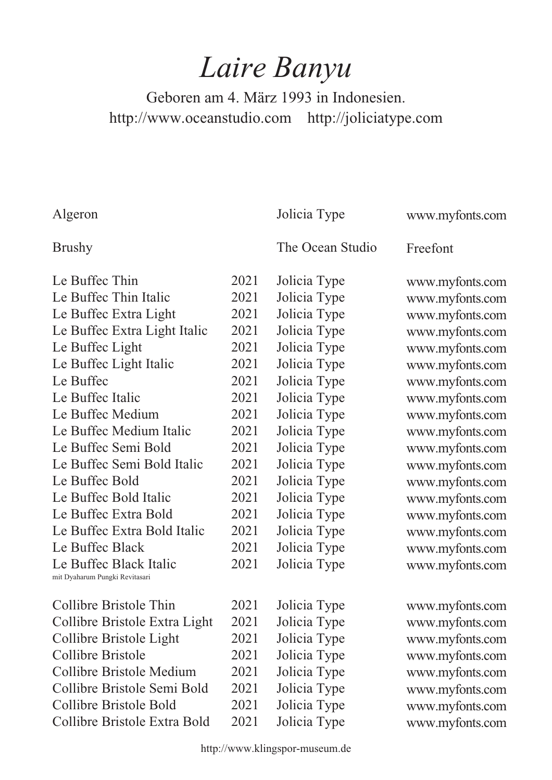## *Laire Banyu*

Geboren am 4. März 1993 in Indonesien. http://www.oceanstudio.com http://joliciatype.com

Algeron

Jolicia Type

www.myfonts.com

## Brushy

The Ocean Studio

Freefont

| Le Buffec Thin                 | 2021 | Jolicia Type |
|--------------------------------|------|--------------|
| Le Buffec Thin Italic          | 2021 | Jolicia Type |
| Le Buffec Extra Light          | 2021 | Jolicia Type |
| Le Buffec Extra Light Italic   | 2021 | Jolicia Type |
| Le Buffec Light                | 2021 | Jolicia Type |
| Le Buffec Light Italic         | 2021 | Jolicia Type |
| Le Buffec                      | 2021 | Jolicia Type |
| Le Buffec Italic               | 2021 | Jolicia Type |
| Le Buffec Medium               | 2021 | Jolicia Type |
| Le Buffec Medium Italic        | 2021 | Jolicia Type |
| Le Buffec Semi Bold            | 2021 | Jolicia Type |
| Le Buffec Semi Bold Italic     | 2021 | Jolicia Type |
| Le Buffec Bold                 | 2021 | Jolicia Type |
| Le Buffec Bold Italic          | 2021 | Jolicia Type |
| Le Buffec Extra Bold           | 2021 | Jolicia Type |
| Le Buffec Extra Bold Italic    | 2021 | Jolicia Type |
| Le Buffec Black                | 2021 | Jolicia Type |
| Le Buffec Black Italic         | 2021 | Jolicia Type |
| mit Dyaharum Pungki Revitasari |      |              |
| Collibre Bristole Thin         | 2021 |              |
|                                |      | Jolicia Type |
| Collibre Bristole Extra Light  | 2021 | Jolicia Type |
| Collibre Bristole Light        | 2021 | Jolicia Type |
| <b>Collibre Bristole</b>       | 2021 | Jolicia Type |
| Collibre Bristole Medium       | 2021 | Jolicia Type |
| Collibre Bristole Semi Bold    | 2021 | Jolicia Type |
| Collibre Bristole Bold         | 2021 | Jolicia Type |
| Collibre Bristole Extra Bold   | 2021 | Jolicia Type |
|                                |      |              |

www.myfonts.com www.myfonts.com www.myfonts.com www.myfonts.com www.myfonts.com www.myfonts.com www.myfonts.com www.myfonts.com www.myfonts.com www.myfonts.com www.myfonts.com www.myfonts.com www.myfonts.com www.myfonts.com www.myfonts.com www.myfonts.com www.myfonts.com www.myfonts.com

www.myfonts.com www.myfonts.com www.myfonts.com www.myfonts.com www.myfonts.com www.myfonts.com www.myfonts.com www.myfonts.com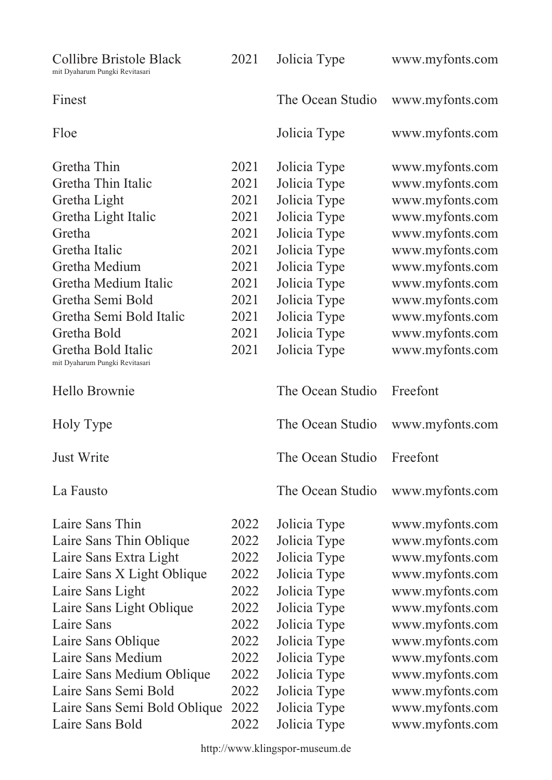| Collibre Bristole Black<br>mit Dyaharum Pungki Revitasari | 2021 | Jolicia Type     | www.myfonts.com |
|-----------------------------------------------------------|------|------------------|-----------------|
| Finest                                                    |      | The Ocean Studio | www.myfonts.com |
| Floe                                                      |      | Jolicia Type     | www.myfonts.com |
| Gretha Thin                                               | 2021 | Jolicia Type     | www.myfonts.com |
| Gretha Thin Italic                                        | 2021 | Jolicia Type     | www.myfonts.com |
| Gretha Light                                              | 2021 | Jolicia Type     | www.myfonts.com |
| Gretha Light Italic                                       | 2021 | Jolicia Type     | www.myfonts.com |
| Gretha                                                    | 2021 | Jolicia Type     | www.myfonts.com |
| Gretha Italic                                             | 2021 | Jolicia Type     | www.myfonts.com |
| Gretha Medium                                             | 2021 | Jolicia Type     | www.myfonts.com |
| Gretha Medium Italic                                      | 2021 | Jolicia Type     | www.myfonts.com |
| Gretha Semi Bold                                          | 2021 | Jolicia Type     | www.myfonts.com |
| Gretha Semi Bold Italic                                   | 2021 | Jolicia Type     | www.myfonts.com |
| Gretha Bold                                               | 2021 | Jolicia Type     | www.myfonts.com |
| Gretha Bold Italic                                        | 2021 | Jolicia Type     | www.myfonts.com |
| mit Dyaharum Pungki Revitasari                            |      |                  |                 |
| Hello Brownie                                             |      | The Ocean Studio | Freefont        |
| Holy Type                                                 |      | The Ocean Studio | www.myfonts.com |
| Just Write                                                |      | The Ocean Studio | Freefont        |
| La Fausto                                                 |      | The Ocean Studio | www.myfonts.com |
| Laire Sans Thin                                           | 2022 | Jolicia Type     | www.myfonts.com |
| Laire Sans Thin Oblique                                   | 2022 | Jolicia Type     | www.myfonts.com |
| Laire Sans Extra Light                                    | 2022 | Jolicia Type     | www.myfonts.com |
| Laire Sans X Light Oblique                                | 2022 | Jolicia Type     | www.myfonts.com |
| Laire Sans Light                                          | 2022 | Jolicia Type     | www.myfonts.com |
| Laire Sans Light Oblique                                  | 2022 | Jolicia Type     | www.myfonts.com |
| Laire Sans                                                | 2022 | Jolicia Type     | www.myfonts.com |
| Laire Sans Oblique                                        | 2022 | Jolicia Type     | www.myfonts.com |
| Laire Sans Medium                                         | 2022 | Jolicia Type     | www.myfonts.com |
| Laire Sans Medium Oblique                                 | 2022 | Jolicia Type     | www.myfonts.com |
| Laire Sans Semi Bold                                      | 2022 | Jolicia Type     | www.myfonts.com |
| Laire Sans Semi Bold Oblique                              | 2022 | Jolicia Type     | www.myfonts.com |
| Laire Sans Bold                                           | 2022 | Jolicia Type     | www.myfonts.com |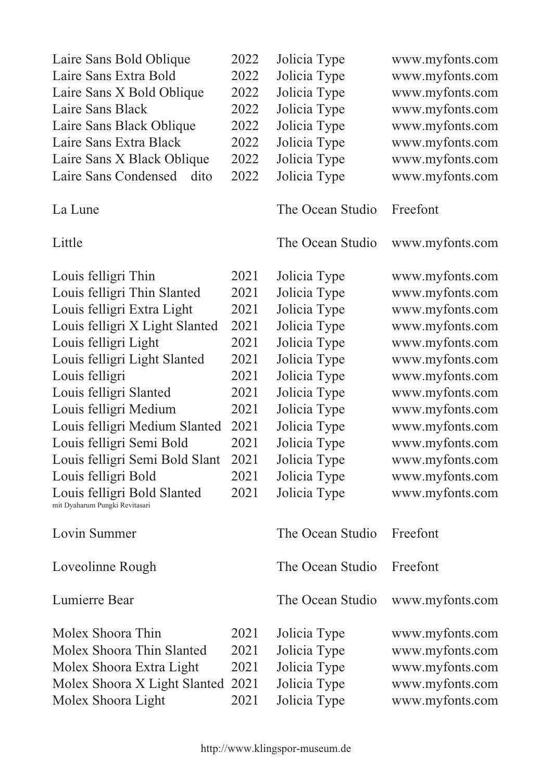| Laire Sans Bold Oblique                                       | 2022 | Jolicia Type     | www.myfonts.com |
|---------------------------------------------------------------|------|------------------|-----------------|
| Laire Sans Extra Bold                                         | 2022 | Jolicia Type     | www.myfonts.com |
| Laire Sans X Bold Oblique                                     | 2022 | Jolicia Type     | www.myfonts.com |
| Laire Sans Black                                              | 2022 | Jolicia Type     | www.myfonts.com |
| Laire Sans Black Oblique                                      | 2022 | Jolicia Type     | www.myfonts.com |
| Laire Sans Extra Black                                        | 2022 | Jolicia Type     | www.myfonts.com |
| Laire Sans X Black Oblique                                    | 2022 | Jolicia Type     | www.myfonts.com |
| Laire Sans Condensed<br>dito                                  | 2022 | Jolicia Type     | www.myfonts.com |
| La Lune                                                       |      | The Ocean Studio | Freefont        |
| Little                                                        |      | The Ocean Studio | www.myfonts.com |
| Louis felligri Thin                                           | 2021 | Jolicia Type     | www.myfonts.com |
| Louis felligri Thin Slanted                                   | 2021 | Jolicia Type     | www.myfonts.com |
| Louis felligri Extra Light                                    | 2021 | Jolicia Type     | www.myfonts.com |
| Louis felligri X Light Slanted                                | 2021 | Jolicia Type     | www.myfonts.com |
| Louis felligri Light                                          | 2021 | Jolicia Type     | www.myfonts.com |
| Louis felligri Light Slanted                                  | 2021 | Jolicia Type     | www.myfonts.com |
| Louis felligri                                                | 2021 | Jolicia Type     | www.myfonts.com |
| Louis felligri Slanted                                        | 2021 | Jolicia Type     | www.myfonts.com |
| Louis felligri Medium                                         | 2021 | Jolicia Type     | www.myfonts.com |
| Louis felligri Medium Slanted                                 | 2021 | Jolicia Type     | www.myfonts.com |
| Louis felligri Semi Bold                                      | 2021 | Jolicia Type     | www.myfonts.com |
| Louis felligri Semi Bold Slant                                | 2021 | Jolicia Type     | www.myfonts.com |
| Louis felligri Bold                                           | 2021 | Jolicia Type     | www.myfonts.com |
| Louis felligri Bold Slanted<br>mit Dyaharum Pungki Revitasari | 2021 | Jolicia Type     | www.myfonts.com |
| Lovin Summer                                                  |      | The Ocean Studio | Freefont        |
| Loveolinne Rough                                              |      | The Ocean Studio | Freefont        |
| Lumierre Bear                                                 |      | The Ocean Studio | www.myfonts.com |
| Molex Shoora Thin                                             | 2021 | Jolicia Type     | www.myfonts.com |
| Molex Shoora Thin Slanted                                     | 2021 | Jolicia Type     | www.myfonts.com |
| Molex Shoora Extra Light                                      | 2021 | Jolicia Type     | www.myfonts.com |
| Molex Shoora X Light Slanted                                  | 2021 | Jolicia Type     | www.myfonts.com |
| Molex Shoora Light                                            | 2021 | Jolicia Type     | www.myfonts.com |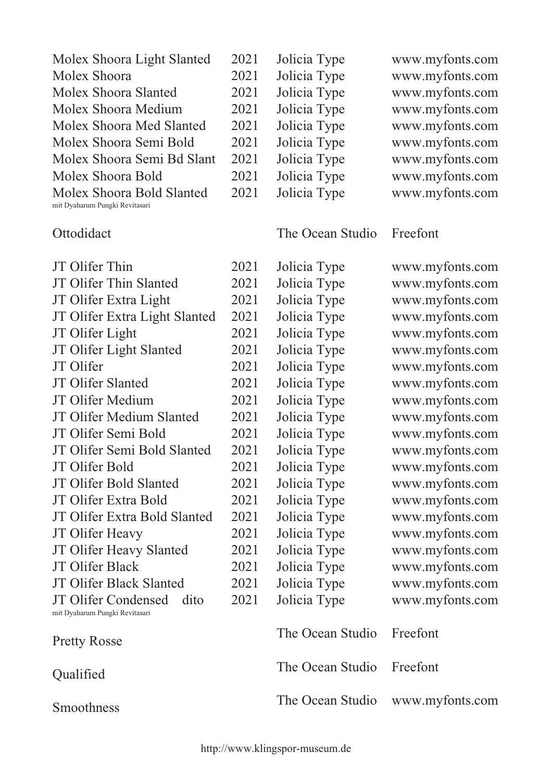| Molex Shoora Light Slanted     | 2021 |
|--------------------------------|------|
| Molex Shoora                   | 2021 |
| Molex Shoora Slanted           | 2021 |
| Molex Shoora Medium            | 2021 |
| Molex Shoora Med Slanted       | 2021 |
| Molex Shoora Semi Bold         | 2021 |
| Molex Shoora Semi Bd Slant     | 2021 |
| Molex Shoora Bold              | 2021 |
| Molex Shoora Bold Slanted      | 2021 |
| mit Dyaharum Pungki Revitasari |      |

## **Ottodidact**

Jolicia Type Jolicia Type Jolicia Type Jolicia Type Jolicia Type Jolicia Type Jolicia Type Jolicia Type Jolicia Type www.myfonts.com www.myfonts.com www.myfonts.com www.myfonts.com www.myfonts.com www.myfonts.com www.myfonts.com www.myfonts.com www.myfonts.com

## The Ocean Studio Freefont

JT Olifer Thin JT Olifer Thin Slanted JT Olifer Extra Light JT Olifer Extra Light Slanted JT Olifer Light JT Olifer Light Slanted JT Olifer JT Olifer Slanted JT Olifer Medium JT Olifer Medium Slanted JT Olifer Semi Bold JT Olifer Semi Bold Slanted JT Olifer Bold JT Olifer Bold Slanted JT Olifer Extra Bold JT Olifer Extra Bold Slanted JT Olifer Heavy JT Olifer Heavy Slanted JT Olifer Black JT Olifer Black Slanted JT Olifer Condensed dito mit Dyaharum Pungki Revitasari Pretty Rosse **Oualified** Smoothness 2021 2021 2021 2021 2021 2021 2021 2021 2021 2021 2021 2021 2021 2021 2021 2021 2021 2021 2021 2021 2021 Jolicia Type Jolicia Type Jolicia Type Jolicia Type Jolicia Type Jolicia Type Jolicia Type Jolicia Type Jolicia Type Jolicia Type Jolicia Type Jolicia Type Jolicia Type Jolicia Type Jolicia Type Jolicia Type Jolicia Type Jolicia Type Jolicia Type Jolicia Type Jolicia Type The Ocean Studio The Ocean Studio The Ocean Studio www.myfonts.com www.myfonts.com www.myfonts.com www.myfonts.com www.myfonts.com www.myfonts.com www.myfonts.com www.myfonts.com www.myfonts.com www.myfonts.com www.myfonts.com www.myfonts.com www.myfonts.com www.myfonts.com www.myfonts.com www.myfonts.com www.myfonts.com www.myfonts.com www.myfonts.com www.myfonts.com www.myfonts.com Freefont Freefont www.myfonts.com